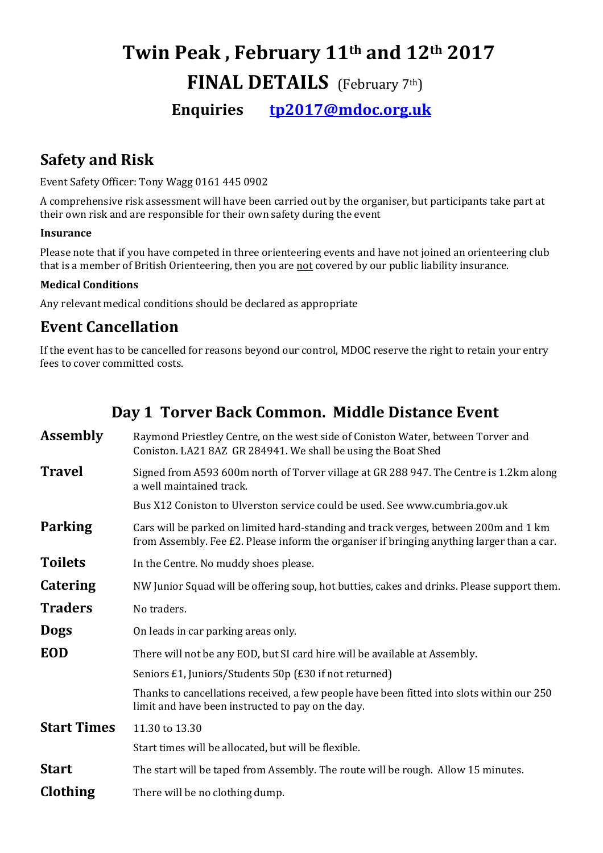# Twin Peak , February 11th and 12th 2017 FINAL DETAILS (February 7th)

Enquiries tp2017@mdoc.org.uk

# Safety and Risk

Event Safety Officer: Tony Wagg 0161 445 0902

A comprehensive risk assessment will have been carried out by the organiser, but participants take part at their own risk and are responsible for their own safety during the event

#### Insurance

Please note that if you have competed in three orienteering events and have not joined an orienteering club that is a member of British Orienteering, then you are not covered by our public liability insurance.

#### Medical Conditions

Any relevant medical conditions should be declared as appropriate

# Event Cancellation

If the event has to be cancelled for reasons beyond our control, MDOC reserve the right to retain your entry fees to cover committed costs.

# Day 1 Torver Back Common. Middle Distance Event

| <b>Assembly</b>    | Raymond Priestley Centre, on the west side of Coniston Water, between Torver and<br>Coniston. LA21 8AZ GR 284941. We shall be using the Boat Shed                                  |
|--------------------|------------------------------------------------------------------------------------------------------------------------------------------------------------------------------------|
| <b>Travel</b>      | Signed from A593 600m north of Torver village at GR 288 947. The Centre is 1.2km along<br>a well maintained track.                                                                 |
|                    | Bus X12 Coniston to Ulverston service could be used. See www.cumbria.gov.uk                                                                                                        |
| <b>Parking</b>     | Cars will be parked on limited hard-standing and track verges, between 200m and 1 km<br>from Assembly. Fee £2. Please inform the organiser if bringing anything larger than a car. |
| <b>Toilets</b>     | In the Centre. No muddy shoes please.                                                                                                                                              |
| <b>Catering</b>    | NW Junior Squad will be offering soup, hot butties, cakes and drinks. Please support them.                                                                                         |
| <b>Traders</b>     | No traders.                                                                                                                                                                        |
| <b>Dogs</b>        | On leads in car parking areas only.                                                                                                                                                |
| <b>EOD</b>         | There will not be any EOD, but SI card hire will be available at Assembly.                                                                                                         |
|                    | Seniors £1, Juniors/Students 50p (£30 if not returned)                                                                                                                             |
|                    | Thanks to cancellations received, a few people have been fitted into slots within our 250<br>limit and have been instructed to pay on the day.                                     |
| <b>Start Times</b> | 11.30 to 13.30                                                                                                                                                                     |
|                    | Start times will be allocated, but will be flexible.                                                                                                                               |
| <b>Start</b>       | The start will be taped from Assembly. The route will be rough. Allow 15 minutes.                                                                                                  |
| Clothing           | There will be no clothing dump.                                                                                                                                                    |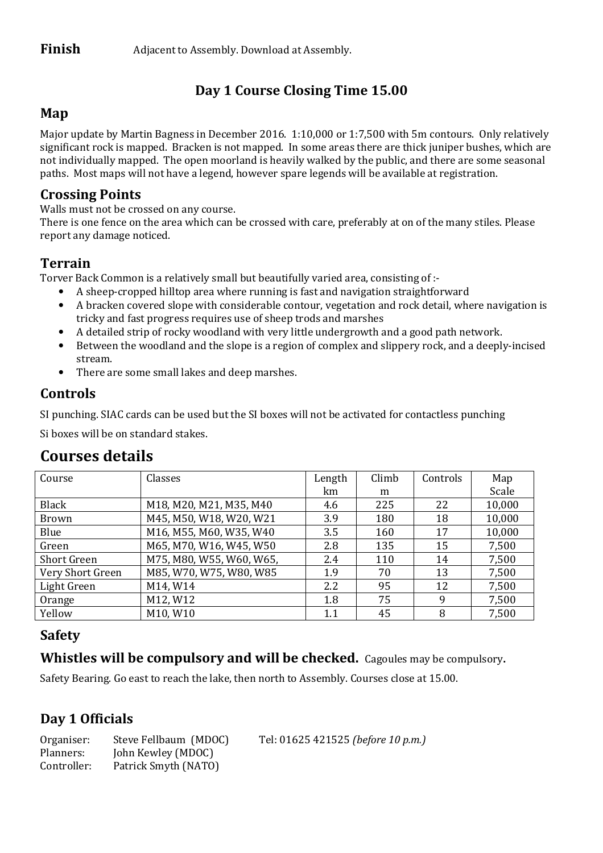# Day 1 Course Closing Time 15.00

#### Map

Major update by Martin Bagness in December 2016. 1:10,000 or 1:7,500 with 5m contours. Only relatively significant rock is mapped. Bracken is not mapped. In some areas there are thick juniper bushes, which are not individually mapped. The open moorland is heavily walked by the public, and there are some seasonal paths. Most maps will not have a legend, however spare legends will be available at registration.

#### Crossing Points

Walls must not be crossed on any course.

There is one fence on the area which can be crossed with care, preferably at on of the many stiles. Please report any damage noticed.

### **Terrain**

Torver Back Common is a relatively small but beautifully varied area, consisting of :-

- A sheep-cropped hilltop area where running is fast and navigation straightforward
- A bracken covered slope with considerable contour, vegetation and rock detail, where navigation is tricky and fast progress requires use of sheep trods and marshes
- A detailed strip of rocky woodland with very little undergrowth and a good path network.
- Between the woodland and the slope is a region of complex and slippery rock, and a deeply-incised stream.
- There are some small lakes and deep marshes.

#### Controls

SI punching. SIAC cards can be used but the SI boxes will not be activated for contactless punching

Si boxes will be on standard stakes.

| Course             | Classes                  | Length | Climb | Controls | Map    |
|--------------------|--------------------------|--------|-------|----------|--------|
|                    |                          | km     | m     |          | Scale  |
| Black              | M18, M20, M21, M35, M40  | 4.6    | 225   | 22       | 10,000 |
| Brown              | M45, M50, W18, W20, W21  | 3.9    | 180   | 18       | 10,000 |
| Blue               | M16, M55, M60, W35, W40  | 3.5    | 160   | 17       | 10,000 |
| Green              | M65, M70, W16, W45, W50  | 2.8    | 135   | 15       | 7,500  |
| <b>Short Green</b> | M75, M80, W55, W60, W65, | 2.4    | 110   | 14       | 7,500  |
| Very Short Green   | M85, W70, W75, W80, W85  | 1.9    | 70    | 13       | 7,500  |
| Light Green        | M14, W14                 | 2.2    | 95    | 12       | 7,500  |
| Orange             | M12, W12                 | 1.8    | 75    | 9        | 7,500  |
| Yellow             | M10, W10                 | 1.1    | 45    | 8        | 7,500  |

# Courses details

# Safety

#### Whistles will be compulsory and will be checked. Cagoules may be compulsory.

Safety Bearing. Go east to reach the lake, then north to Assembly. Courses close at 15.00.

# Day 1 Officials

| Organiser:  | Steve Fellbaum (MDOC) | Tel: 01625 421525 (before 10 p.m.) |
|-------------|-----------------------|------------------------------------|
| Planners:   | John Kewley (MDOC)    |                                    |
| Controller: | Patrick Smyth (NATO)  |                                    |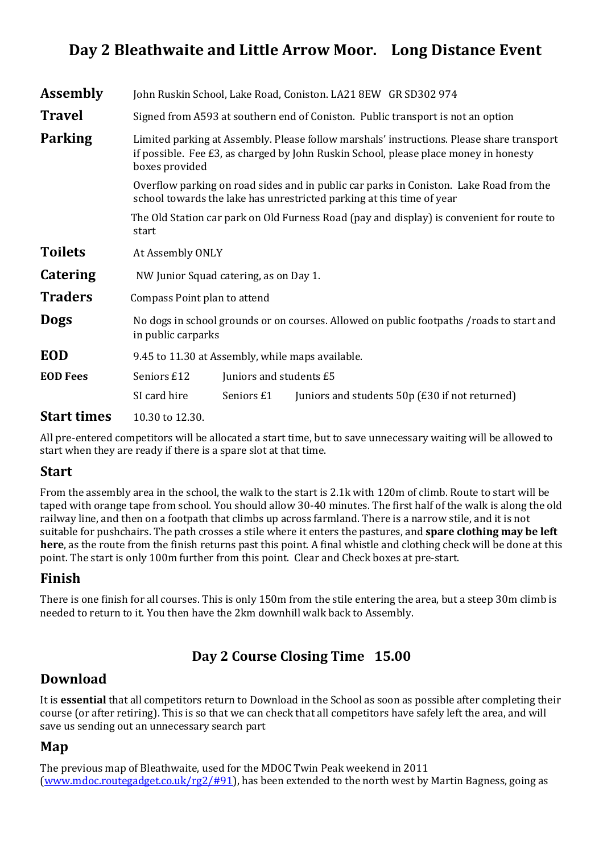# Day 2 Bleathwaite and Little Arrow Moor. Long Distance Event

| Assembly                                                  |                                                                                                                                                                                                                                                                                                                                                                        |            | John Ruskin School, Lake Road, Coniston. LA21 8EW GR SD302 974                  |  |
|-----------------------------------------------------------|------------------------------------------------------------------------------------------------------------------------------------------------------------------------------------------------------------------------------------------------------------------------------------------------------------------------------------------------------------------------|------------|---------------------------------------------------------------------------------|--|
| <b>Travel</b>                                             |                                                                                                                                                                                                                                                                                                                                                                        |            | Signed from A593 at southern end of Coniston. Public transport is not an option |  |
| Parking                                                   | Limited parking at Assembly. Please follow marshals' instructions. Please share transport<br>if possible. Fee £3, as charged by John Ruskin School, please place money in honesty<br>boxes provided<br>Overflow parking on road sides and in public car parks in Coniston. Lake Road from the<br>school towards the lake has unrestricted parking at this time of year |            |                                                                                 |  |
|                                                           |                                                                                                                                                                                                                                                                                                                                                                        |            |                                                                                 |  |
|                                                           | The Old Station car park on Old Furness Road (pay and display) is convenient for route to<br>start                                                                                                                                                                                                                                                                     |            |                                                                                 |  |
| <b>Toilets</b>                                            | At Assembly ONLY                                                                                                                                                                                                                                                                                                                                                       |            |                                                                                 |  |
| Catering                                                  | NW Junior Squad catering, as on Day 1.                                                                                                                                                                                                                                                                                                                                 |            |                                                                                 |  |
| <b>Traders</b>                                            | Compass Point plan to attend                                                                                                                                                                                                                                                                                                                                           |            |                                                                                 |  |
| <b>Dogs</b>                                               | No dogs in school grounds or on courses. Allowed on public footpaths /roads to start and<br>in public carparks                                                                                                                                                                                                                                                         |            |                                                                                 |  |
| <b>EOD</b>                                                | 9.45 to 11.30 at Assembly, while maps available.                                                                                                                                                                                                                                                                                                                       |            |                                                                                 |  |
| <b>EOD Fees</b><br>Seniors £12<br>Juniors and students £5 |                                                                                                                                                                                                                                                                                                                                                                        |            |                                                                                 |  |
|                                                           | SI card hire                                                                                                                                                                                                                                                                                                                                                           | Seniors £1 | Juniors and students 50p (£30 if not returned)                                  |  |
| <b>Start times</b>                                        | 10.30 to 12.30.                                                                                                                                                                                                                                                                                                                                                        |            |                                                                                 |  |

All pre-entered competitors will be allocated a start time, but to save unnecessary waiting will be allowed to start when they are ready if there is a spare slot at that time.

#### Start

From the assembly area in the school, the walk to the start is 2.1k with 120m of climb. Route to start will be taped with orange tape from school. You should allow 30-40 minutes. The first half of the walk is along the old railway line, and then on a footpath that climbs up across farmland. There is a narrow stile, and it is not suitable for pushchairs. The path crosses a stile where it enters the pastures, and **spare clothing may be left** here, as the route from the finish returns past this point. A final whistle and clothing check will be done at this point. The start is only 100m further from this point. Clear and Check boxes at pre-start.

#### Finish

There is one finish for all courses. This is only 150m from the stile entering the area, but a steep 30m climb is needed to return to it. You then have the 2km downhill walk back to Assembly.

# Day 2 Course Closing Time 15.00

# Download

It is **essential** that all competitors return to Download in the School as soon as possible after completing their course (or after retiring). This is so that we can check that all competitors have safely left the area, and will save us sending out an unnecessary search part

#### Map

The previous map of Bleathwaite, used for the MDOC Twin Peak weekend in 2011 (www.mdoc.routegadget.co.uk/rg2/#91), has been extended to the north west by Martin Bagness, going as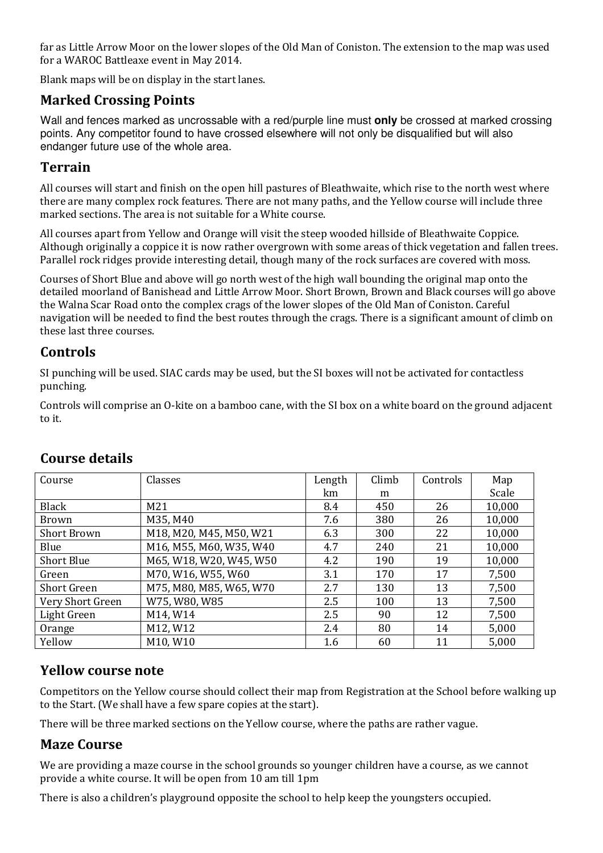far as Little Arrow Moor on the lower slopes of the Old Man of Coniston. The extension to the map was used for a WAROC Battleaxe event in May 2014.

Blank maps will be on display in the start lanes.

#### Marked Crossing Points

Wall and fences marked as uncrossable with a red/purple line must **only** be crossed at marked crossing points. Any competitor found to have crossed elsewhere will not only be disqualified but will also endanger future use of the whole area.

#### Terrain

All courses will start and finish on the open hill pastures of Bleathwaite, which rise to the north west where there are many complex rock features. There are not many paths, and the Yellow course will include three marked sections. The area is not suitable for a White course.

All courses apart from Yellow and Orange will visit the steep wooded hillside of Bleathwaite Coppice. Although originally a coppice it is now rather overgrown with some areas of thick vegetation and fallen trees. Parallel rock ridges provide interesting detail, though many of the rock surfaces are covered with moss.

Courses of Short Blue and above will go north west of the high wall bounding the original map onto the detailed moorland of Banishead and Little Arrow Moor. Short Brown, Brown and Black courses will go above the Walna Scar Road onto the complex crags of the lower slopes of the Old Man of Coniston. Careful navigation will be needed to find the best routes through the crags. There is a significant amount of climb on these last three courses.

#### Controls

SI punching will be used. SIAC cards may be used, but the SI boxes will not be activated for contactless punching.

Controls will comprise an O-kite on a bamboo cane, with the SI box on a white board on the ground adjacent to it.

| Course             | Classes                 | Length | Climb | Controls | Map    |
|--------------------|-------------------------|--------|-------|----------|--------|
|                    |                         | km     | m     |          | Scale  |
| Black              | M21                     | 8.4    | 450   | 26       | 10,000 |
| <b>Brown</b>       | M35, M40                | 7.6    | 380   | 26       | 10,000 |
| <b>Short Brown</b> | M18, M20, M45, M50, W21 | 6.3    | 300   | 22       | 10,000 |
| Blue               | M16, M55, M60, W35, W40 | 4.7    | 240   | 21       | 10,000 |
| <b>Short Blue</b>  | M65, W18, W20, W45, W50 | 4.2    | 190   | 19       | 10,000 |
| Green              | M70, W16, W55, W60      | 3.1    | 170   | 17       | 7,500  |
| <b>Short Green</b> | M75, M80, M85, W65, W70 | 2.7    | 130   | 13       | 7,500  |
| Very Short Green   | W75, W80, W85           | 2.5    | 100   | 13       | 7,500  |
| Light Green        | M14, W14                | 2.5    | 90    | 12       | 7,500  |
| Orange             | M12, W12                | 2.4    | 80    | 14       | 5,000  |
| Yellow             | M10, W10                | 1.6    | 60    | 11       | 5,000  |

#### Course details

#### Yellow course note

Competitors on the Yellow course should collect their map from Registration at the School before walking up to the Start. (We shall have a few spare copies at the start).

There will be three marked sections on the Yellow course, where the paths are rather vague.

#### Maze Course

We are providing a maze course in the school grounds so younger children have a course, as we cannot provide a white course. It will be open from 10 am till 1pm

There is also a children's playground opposite the school to help keep the youngsters occupied.